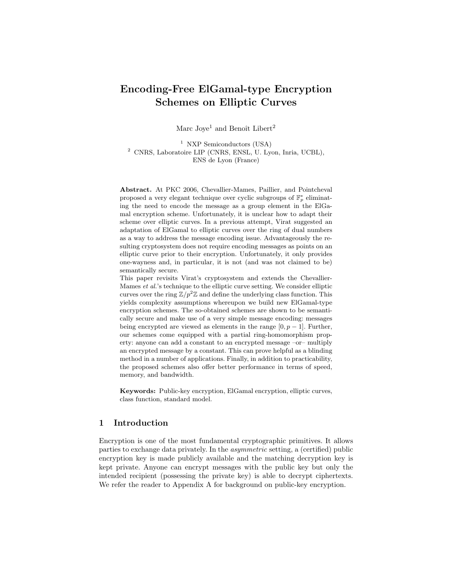# Encoding-Free ElGamal-type Encryption Schemes on Elliptic Curves

Marc Joye<sup>1</sup> and Benoît Libert<sup>2</sup>

<sup>1</sup> NXP Semiconductors (USA) <sup>2</sup> CNRS, Laboratoire LIP (CNRS, ENSL, U. Lyon, Inria, UCBL), ENS de Lyon (France)

Abstract. At PKC 2006, Chevallier-Mames, Paillier, and Pointcheval proposed a very elegant technique over cyclic subgroups of  $\mathbb{F}_p^*$  eliminating the need to encode the message as a group element in the ElGamal encryption scheme. Unfortunately, it is unclear how to adapt their scheme over elliptic curves. In a previous attempt, Virat suggested an adaptation of ElGamal to elliptic curves over the ring of dual numbers as a way to address the message encoding issue. Advantageously the resulting cryptosystem does not require encoding messages as points on an elliptic curve prior to their encryption. Unfortunately, it only provides one-wayness and, in particular, it is not (and was not claimed to be) semantically secure.

This paper revisits Virat's cryptosystem and extends the Chevallier-Mames et al.'s technique to the elliptic curve setting. We consider elliptic curves over the ring  $\mathbb{Z}/p^2\mathbb{Z}$  and define the underlying class function. This yields complexity assumptions whereupon we build new ElGamal-type encryption schemes. The so-obtained schemes are shown to be semantically secure and make use of a very simple message encoding: messages being encrypted are viewed as elements in the range  $[0, p - 1]$ . Further, our schemes come equipped with a partial ring-homomorphism property: anyone can add a constant to an encrypted message –or– multiply an encrypted message by a constant. This can prove helpful as a blinding method in a number of applications. Finally, in addition to practicability, the proposed schemes also offer better performance in terms of speed, memory, and bandwidth.

Keywords: Public-key encryption, ElGamal encryption, elliptic curves, class function, standard model.

## 1 Introduction

Encryption is one of the most fundamental cryptographic primitives. It allows parties to exchange data privately. In the asymmetric setting, a (certified) public encryption key is made publicly available and the matching decryption key is kept private. Anyone can encrypt messages with the public key but only the intended recipient (possessing the private key) is able to decrypt ciphertexts. We refer the reader to Appendix A for background on public-key encryption.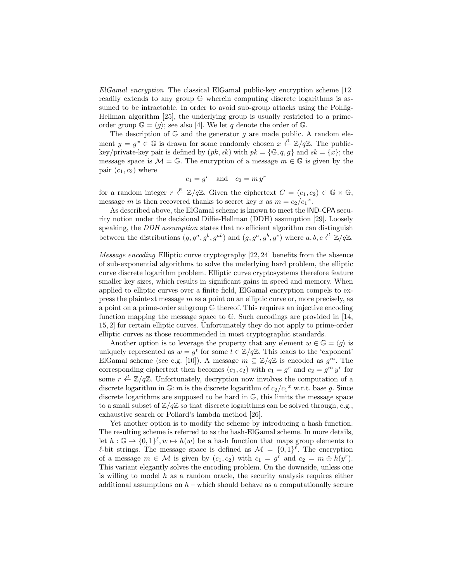ElGamal encryption The classical ElGamal public-key encryption scheme [12] readily extends to any group G wherein computing discrete logarithms is assumed to be intractable. In order to avoid sub-group attacks using the Pohlig-Hellman algorithm [25], the underlying group is usually restricted to a primeorder group  $\mathbb{G} = \langle g \rangle$ ; see also [4]. We let q denote the order of  $\mathbb{G}$ .

The description of  $\mathbb{G}$  and the generator g are made public. A random element  $y = g^x \in \mathbb{G}$  is drawn for some randomly chosen  $x \stackrel{R}{\leftarrow} \mathbb{Z}/q\mathbb{Z}$ . The publickey/private-key pair is defined by  $(pk, sk)$  with  $pk = \{\mathbb{G}, q, g\}$  and  $sk = \{x\}$ ; the message space is  $\mathcal{M} = \mathbb{G}$ . The encryption of a message  $m \in \mathbb{G}$  is given by the pair  $(c_1, c_2)$  where

$$
c_1 = g^r \quad \text{and} \quad c_2 = m y^r
$$

for a random integer  $r \stackrel{R}{\leftarrow} \mathbb{Z}/q\mathbb{Z}$ . Given the ciphertext  $C = (c_1, c_2) \in \mathbb{G} \times \mathbb{G}$ , message m is then recovered thanks to secret key x as  $m = c_2/c_1^x$ .

As described above, the ElGamal scheme is known to meet the IND-CPA security notion under the decisional Diffie-Hellman (DDH) assumption [29]. Loosely speaking, the DDH assumption states that no efficient algorithm can distinguish between the distributions  $(g, g^a, g^b, g^{ab})$  and  $(g, g^a, g^b, g^c)$  where  $a, b, c \stackrel{R}{\leftarrow} \mathbb{Z}/q\mathbb{Z}$ .

Message encoding Elliptic curve cryptography [22, 24] benefits from the absence of sub-exponential algorithms to solve the underlying hard problem, the elliptic curve discrete logarithm problem. Elliptic curve cryptosystems therefore feature smaller key sizes, which results in significant gains in speed and memory. When applied to elliptic curves over a finite field, ElGamal encryption compels to express the plaintext message m as a point on an elliptic curve or, more precisely, as a point on a prime-order subgroup G thereof. This requires an injective encoding function mapping the message space to G. Such encodings are provided in [14, 15, 2] for certain elliptic curves. Unfortunately they do not apply to prime-order elliptic curves as those recommended in most cryptographic standards.

Another option is to leverage the property that any element  $w \in \mathbb{G} = \langle g \rangle$  is uniquely represented as  $w = g^t$  for some  $t \in \mathbb{Z}/q\mathbb{Z}$ . This leads to the 'exponent' ElGamal scheme (see e.g. [10]). A message  $m \subseteq \mathbb{Z}/q\mathbb{Z}$  is encoded as  $g^m$ . The corresponding ciphertext then becomes  $(c_1, c_2)$  with  $c_1 = g^r$  and  $c_2 = g^m y^r$  for some  $r \stackrel{R}{\leftarrow} \mathbb{Z}/q\mathbb{Z}$ . Unfortunately, decryption now involves the computation of a discrete logarithm in  $\mathbb{G}$ : m is the discrete logarithm of  $c_2/c_1^x$  w.r.t. base g. Since discrete logarithms are supposed to be hard in G, this limits the message space to a small subset of  $\mathbb{Z}/q\mathbb{Z}$  so that discrete logarithms can be solved through, e.g., exhaustive search or Pollard's lambda method [26].

Yet another option is to modify the scheme by introducing a hash function. The resulting scheme is referred to as the hash-ElGamal scheme. In more details, let  $h: \mathbb{G} \to \{0,1\}^{\ell}, w \mapsto h(w)$  be a hash function that maps group elements to  $\ell$ -bit strings. The message space is defined as  $\mathcal{M} = \{0, 1\}^{\ell}$ . The encryption of a message  $m \in \mathcal{M}$  is given by  $(c_1, c_2)$  with  $c_1 = g^r$  and  $c_2 = m \oplus h(y^r)$ . This variant elegantly solves the encoding problem. On the downside, unless one is willing to model  $h$  as a random oracle, the security analysis requires either additional assumptions on  $h$  – which should behave as a computationally secure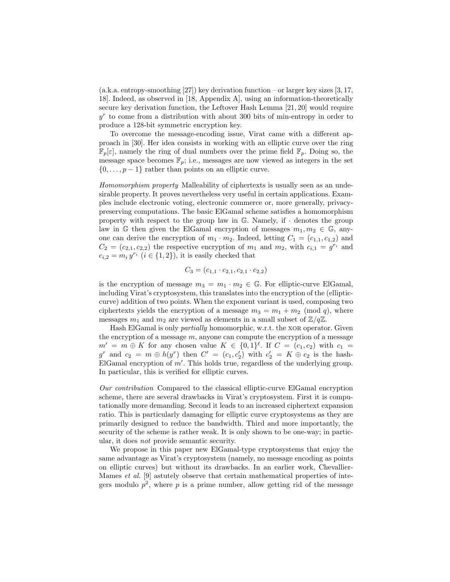$(a.k.a.$  entropy-smoothing  $[27]$  key derivation function – or larger key sizes  $[3, 17]$ , 18]. Indeed, as observed in [18, Appendix A], using an information-theoretically secure key derivation function, the Leftover Hash Lemma [21, 20] would require  $y<sup>r</sup>$  to come from a distribution with about 300 bits of min-entropy in order to produce a 128-bit symmetric encryption key.

To overcome the message-encoding issue, Virat came with a different approach in [30]. Her idea consists in working with an elliptic curve over the ring  $\mathbb{F}_p[\varepsilon]$ , namely the ring of dual numbers over the prime field  $\mathbb{F}_p$ . Doing so, the message space becomes  $\mathbb{F}_p$ ; i.e., messages are now viewed as integers in the set  $\{0, \ldots, p-1\}$  rather than points on an elliptic curve.

Homomorphism property Malleability of ciphertexts is usually seen as an undesirable property. It proves nevertheless very useful in certain applications. Examples include electronic voting, electronic commerce or, more generally, privacypreserving computations. The basic ElGamal scheme satisfies a homomorphism property with respect to the group law in  $\mathbb{G}$ . Namely, if  $\cdot$  denotes the group law in G then given the ElGamal encryption of messages  $m_1, m_2 \in \mathbb{G}$ , anyone can derive the encryption of  $m_1 \cdot m_2$ . Indeed, letting  $C_1 = (c_{1,1}, c_{1,2})$  and  $C_2 = (c_{2,1}, c_{2,2})$  the respective encryption of  $m_1$  and  $m_2$ , with  $c_{i,1} = g^{r_i}$  and  $c_{i,2} = m_i y^{r_i}$   $(i \in \{1,2\})$ , it is easily checked that

$$
C_3 = (c_{1,1} \cdot c_{2,1}, c_{2,1} \cdot c_{2,2})
$$

is the encryption of message  $m_3 = m_1 \cdot m_2 \in \mathbb{G}$ . For elliptic-curve ElGamal, including Virat's cryptosystem, this translates into the encryption of the (ellipticcurve) addition of two points. When the exponent variant is used, composing two ciphertexts yields the encryption of a message  $m_3 = m_1 + m_2 \pmod{q}$ , where messages  $m_1$  and  $m_2$  are viewed as elements in a small subset of  $\mathbb{Z}/q\mathbb{Z}$ .

Hash ElGamal is only *partially* homomorphic, w.r.t. the XOR operator. Given the encryption of a message  $m$ , anyone can compute the encryption of a message  $m' = m \oplus K$  for any chosen value  $K \in \{0,1\}^{\ell}$ . If  $C = (c_1, c_2)$  with  $c_1 =$  $g^r$  and  $c_2 = m \oplus h(y^r)$  then  $C' = (c_1, c'_2)$  with  $c'_2 = K \oplus c_2$  is the hash-ElGamal encryption of  $m'$ . This holds true, regardless of the underlying group. In particular, this is verified for elliptic curves.

Our contribution Compared to the classical elliptic-curve ElGamal encryption scheme, there are several drawbacks in Virat's cryptosystem. First it is computationally more demanding. Second it leads to an increased ciphertext expansion ratio. This is particularly damaging for elliptic curve cryptosystems as they are primarily designed to reduce the bandwidth. Third and more importantly, the security of the scheme is rather weak. It is only shown to be one-way; in particular, it does not provide semantic security.

We propose in this paper new ElGamal-type cryptosystems that enjoy the same advantage as Virat's cryptosystem (namely, no message encoding as points on elliptic curves) but without its drawbacks. In an earlier work, Chevallier-Mames et al. [9] astutely observe that certain mathematical properties of integers modulo  $p^2$ , where p is a prime number, allow getting rid of the message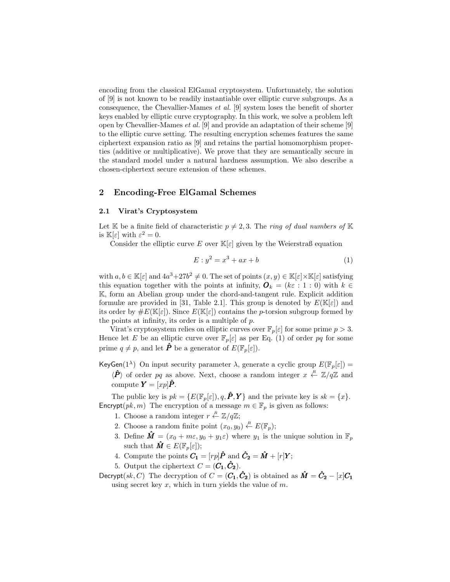encoding from the classical ElGamal cryptosystem. Unfortunately, the solution of [9] is not known to be readily instantiable over elliptic curve subgroups. As a consequence, the Chevallier-Mames et al. [9] system loses the benefit of shorter keys enabled by elliptic curve cryptography. In this work, we solve a problem left open by Chevallier-Mames et al. [9] and provide an adaptation of their scheme [9] to the elliptic curve setting. The resulting encryption schemes features the same ciphertext expansion ratio as [9] and retains the partial homomorphism properties (additive or multiplicative). We prove that they are semantically secure in the standard model under a natural hardness assumption. We also describe a chosen-ciphertext secure extension of these schemes.

## 2 Encoding-Free ElGamal Schemes

#### 2.1 Virat's Cryptosystem

Let K be a finite field of characteristic  $p \neq 2, 3$ . The ring of dual numbers of K is  $\mathbb{K}[\varepsilon]$  with  $\varepsilon^2 = 0$ .

Consider the elliptic curve E over  $\mathbb{K}[\varepsilon]$  given by the Weierstraß equation

$$
E: y^2 = x^3 + ax + b \tag{1}
$$

with  $a, b \in \mathbb{K}[\varepsilon]$  and  $4a^3 + 27b^2 \neq 0$ . The set of points  $(x, y) \in \mathbb{K}[\varepsilon] \times \mathbb{K}[\varepsilon]$  satisfying this equation together with the points at infinity,  $\mathbf{O}_k = (k\varepsilon : 1 : 0)$  with  $k \in$ K, form an Abelian group under the chord-and-tangent rule. Explicit addition formulæ are provided in [31, Table 2.1]. This group is denoted by  $E(\mathbb{K}[\varepsilon])$  and its order by  $\#E(\mathbb{K}[\varepsilon])$ . Since  $E(\mathbb{K}[\varepsilon])$  contains the p-torsion subgroup formed by the points at infinity, its order is a multiple of  $p$ .

Virat's cryptosystem relies on elliptic curves over  $\mathbb{F}_p[\varepsilon]$  for some prime  $p > 3$ . Hence let E be an elliptic curve over  $\mathbb{F}_p[\varepsilon]$  as per Eq. (1) of order pq for some prime  $q \neq p$ , and let  $\hat{P}$  be a generator of  $E(\mathbb{F}_p[\varepsilon])$ .

KeyGen(1<sup> $\lambda$ </sup>) On input security parameter  $\lambda$ , generate a cyclic group  $E(\mathbb{F}_p[\varepsilon]) =$  $\langle \hat{P} \rangle$  of order pq as above. Next, choose a random integer  $x \stackrel{R}{\leftarrow} \mathbb{Z}/q\mathbb{Z}$  and compute  $Y = [xp]\hat{P}$ .

The public key is  $pk = \{E(\mathbb{F}_p[\varepsilon]), q, \hat{P}, Y\}$  and the private key is  $sk = \{x\}.$ Encrypt( $pk, m$ ) The encryption of a message  $m \in \mathbb{F}_p$  is given as follows:

- 1. Choose a random integer  $r \stackrel{R}{\leftarrow} \mathbb{Z}/q\mathbb{Z};$
- 2. Choose a random finite point  $(x_0, y_0) \stackrel{R}{\leftarrow} E(\mathbb{F}_p);$
- 3. Define  $\hat{\mathbf{M}} = (x_0 + m\varepsilon, y_0 + y_1\varepsilon)$  where  $y_1$  is the unique solution in  $\mathbb{F}_p$ such that  $\hat{\boldsymbol{M}} \in E(\mathbb{F}_p[\varepsilon])$ ;
- 4. Compute the points  $C_1 = [rp]\hat{P}$  and  $\hat{C}_2 = \hat{M} + [r]Y$ ;
- 5. Output the ciphertext  $C = (\mathbf{C_1}, \hat{\mathbf{C}_2})$ .

Decrypt $(sk, C)$  The decryption of  $C = (\mathcal{C}_1, \hat{\mathcal{C}}_2)$  is obtained as  $\hat{\mathbf{M}} = \hat{\mathcal{C}}_2 - [x]\mathcal{C}_1$ using secret key  $x$ , which in turn yields the value of  $m$ .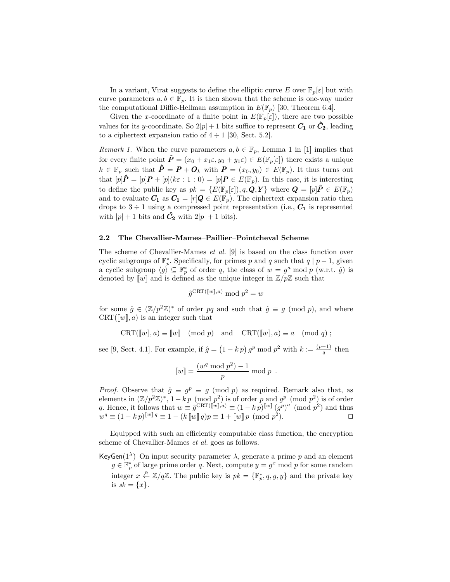In a variant, Virat suggests to define the elliptic curve E over  $\mathbb{F}_p[\varepsilon]$  but with curve parameters  $a, b \in \mathbb{F}_p$ . It is then shown that the scheme is one-way under the computational Diffie-Hellman assumption in  $E(\mathbb{F}_p)$  [30, Theorem 6.4].

Given the x-coordinate of a finite point in  $E(\mathbb{F}_p[\varepsilon])$ , there are two possible values for its y-coordinate. So  $2|p|+1$  bits suffice to represent  $C_1$  or  $\hat{C}_2$ , leading to a ciphertext expansion ratio of  $4 \div 1$  [30, Sect. 5.2].

Remark 1. When the curve parameters  $a, b \in \mathbb{F}_p$ , Lemma 1 in [1] implies that for every finite point  $\hat{\mathbf{P}} = (x_0 + x_1 \varepsilon, y_0 + y_1 \varepsilon) \in E(\mathbb{F}_p[\varepsilon])$  there exists a unique  $k \in \mathbb{F}_p$  such that  $\hat{\mathbf{P}} = \mathbf{P} + \mathbf{O}_k$  with  $\mathbf{P} = (x_0, y_0) \in E(\mathbb{F}_p)$ . It thus turns out that  $[p]\hat{P} = [p]P + [p](k\varepsilon : 1 : 0) = [p]P \in E(\mathbb{F}_p)$ . In this case, it is interesting to define the public key as  $pk = \{E(\mathbb{F}_p[\varepsilon]), q, \mathbf{Q}, \mathbf{Y}\}\$  where  $\mathbf{Q} = [p]\hat{\mathbf{P}} \in E(\mathbb{F}_p)$ and to evaluate  $C_1$  as  $C_1 = [r]Q \in E(\mathbb{F}_p)$ . The ciphertext expansion ratio then drops to  $3 \div 1$  using a compressed point representation (i.e.,  $C_1$  is represented with  $|p|+1$  bits and  $\hat{C}_2$  with  $2|p|+1$  bits).

#### 2.2 The Chevallier-Mames–Paillier–Pointcheval Scheme

The scheme of Chevallier-Mames et al. [9] is based on the class function over cyclic subgroups of  $\mathbb{F}_p^*$ . Specifically, for primes p and q such that  $q | p - 1$ , given a cyclic subgroup  $\langle g \rangle \subseteq \mathbb{F}_p^*$  of order q, the class of  $w = g^a \mod p$  (w.r.t.  $\hat{g}$ ) is denoted by  $\llbracket w \rrbracket$  and is defined as the unique integer in  $\mathbb{Z}/p\mathbb{Z}$  such that

$$
\hat{g}^{\text{CRT}(\llbracket w \rrbracket, a)} \bmod p^2 = w
$$

for some  $\hat{g} \in (\mathbb{Z}/p^2\mathbb{Z})^*$  of order pq and such that  $\hat{g} \equiv g \pmod{p}$ , and where  $CRT(\llbracket w \rrbracket, a)$  is an integer such that

 $CRT(\llbracket w \rrbracket, a) \equiv \llbracket w \rrbracket \pmod{p}$  and  $CRT(\llbracket w \rrbracket, a) \equiv a \pmod{q}$ ;

see [9, Sect. 4.1]. For example, if  $\hat{g} = (1 - k p) g^p \text{ mod } p^2$  with  $k := \frac{(p-1)}{q}$  $\frac{-1}{q}$  then

$$
[\![w]\!] = \frac{(w^q \bmod p^2) - 1}{p} \bmod p .
$$

*Proof.* Observe that  $\hat{g} \equiv g^p \equiv g \pmod{p}$  as required. Remark also that, as elements in  $(\mathbb{Z}/p^2\mathbb{Z})^*$ ,  $1-kp \pmod{p^2}$  is of order p and  $g^p \pmod{p^2}$  is of order q. Hence, it follows that  $w \equiv \hat{g}^{\text{CRT}([\bar{w}],a)} \equiv (1 - kp)^{[w]} (g^p)^a \pmod{p^2}$  and thus  $w^q \equiv (1 - kp)^{[w]}$   $q \equiv 1 - (k [w] q)p \equiv 1 + [w] p \pmod{p^2}$ ).  $\qquad \qquad \Box$ 

Equipped with such an efficiently computable class function, the encryption scheme of Chevallier-Mames et al. goes as follows.

KeyGen( $1^{\lambda}$ ) On input security parameter  $\lambda$ , generate a prime p and an element  $g \in \mathbb{F}_p^*$  of large prime order q. Next, compute  $y = g^x \mod p$  for some random integer  $x \stackrel{R}{\leftarrow} \mathbb{Z}/q\mathbb{Z}$ . The public key is  $pk = {\mathbb{F}_p^*, q, g, y}$  and the private key is  $sk = \{x\}.$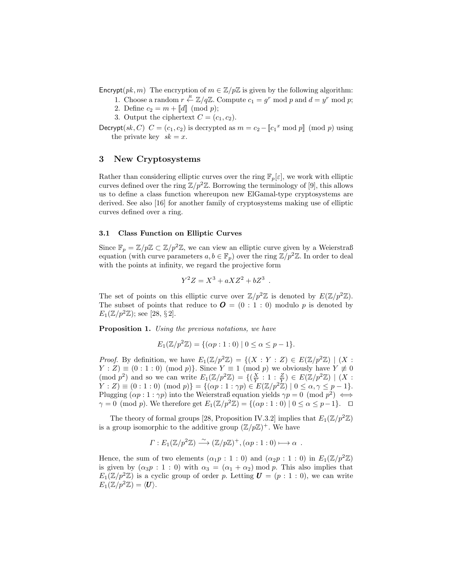Encrypt(pk, m) The encryption of  $m \in \mathbb{Z}/p\mathbb{Z}$  is given by the following algorithm:

- 1. Choose a random  $r \stackrel{R}{\leftarrow} \mathbb{Z}/q\mathbb{Z}$ . Compute  $c_1 = g^r \mod p$  and  $d = y^r \mod p$ ;
- 2. Define  $c_2 = m + \llbracket d \rrbracket \pmod{p};$
- 3. Output the ciphertext  $C = (c_1, c_2)$ .

Decrypt(sk, C)  $C = (c_1, c_2)$  is decrypted as  $m = c_2 - [c_1^x \mod p] \pmod{p}$  using the private key  $sk = x$ .

## 3 New Cryptosystems

Rather than considering elliptic curves over the ring  $\mathbb{F}_p[\varepsilon]$ , we work with elliptic curves defined over the ring  $\mathbb{Z}/p^2\mathbb{Z}$ . Borrowing the terminology of [9], this allows us to define a class function whereupon new ElGamal-type cryptosystems are derived. See also [16] for another family of cryptosystems making use of elliptic curves defined over a ring.

#### 3.1 Class Function on Elliptic Curves

Since  $\mathbb{F}_p = \mathbb{Z}/p\mathbb{Z} \subset \mathbb{Z}/p^2\mathbb{Z}$ , we can view an elliptic curve given by a Weierstraß equation (with curve parameters  $a, b \in \mathbb{F}_p$ ) over the ring  $\mathbb{Z}/p^2\mathbb{Z}$ . In order to deal with the points at infinity, we regard the projective form

$$
Y^2 Z = X^3 + aXZ^2 + bZ^3 .
$$

The set of points on this elliptic curve over  $\mathbb{Z}/p^2\mathbb{Z}$  is denoted by  $E(\mathbb{Z}/p^2\mathbb{Z})$ . The subset of points that reduce to  $\boldsymbol{O} = (0 : 1 : 0)$  modulo p is denoted by  $E_1(\mathbb{Z}/p^2\mathbb{Z})$ ; see [28, § 2].

**Proposition 1.** Using the previous notations, we have

$$
E_1(\mathbb{Z}/p^2\mathbb{Z}) = \{ (\alpha p : 1 : 0) \mid 0 \le \alpha \le p - 1 \}.
$$

*Proof.* By definition, we have  $E_1(\mathbb{Z}/p^2\mathbb{Z}) = \{(X : Y : Z) \in E(\mathbb{Z}/p^2\mathbb{Z}) \mid (X : Y) \in E(\mathbb{Z}/p^2\mathbb{Z})\}$  $Y : Z$  =  $(0 : 1 : 0) \pmod{p}$ . Since  $Y \equiv 1 \pmod{p}$  we obviously have  $Y \not\equiv 0$ (mod  $p^2$ ) and so we can write  $E_1(\mathbb{Z}/p^2\mathbb{Z}) = \{(\frac{X}{Y} : 1 : \frac{Z}{Y}) \in E(\mathbb{Z}/p^2\mathbb{Z}) \mid (X :$  $Y : Z \equiv (0 : 1 : 0) \pmod{p} = \{(\alpha p : 1 : \gamma p) \in E(\mathbb{Z}/p^2\mathbb{Z}) \mid 0 \leq \alpha, \gamma \leq p-1\}.$ Plugging  $(\alpha p : 1 : \gamma p)$  into the Weierstraß equation yields  $\gamma p = 0 \pmod{p^2} \iff$  $\gamma = 0 \pmod{p}$ . We therefore get  $E_1(\mathbb{Z}/p^2\mathbb{Z}) = \{(\alpha p : 1 : 0) \mid 0 \leq \alpha \leq p-1\}$ .  $\Box$ 

The theory of formal groups [28, Proposition IV.3.2] implies that  $E_1(\mathbb{Z}/p^2\mathbb{Z})$ is a group isomorphic to the additive group  $(\mathbb{Z}/p\mathbb{Z})^+$ . We have

$$
\Gamma: E_1(\mathbb{Z}/p^2\mathbb{Z}) \longrightarrow (\mathbb{Z}/p\mathbb{Z})^+, (\alpha p:1:0) \longmapsto \alpha .
$$

Hence, the sum of two elements  $(\alpha_1 p : 1 : 0)$  and  $(\alpha_2 p : 1 : 0)$  in  $E_1(\mathbb{Z}/p^2\mathbb{Z})$ is given by  $(\alpha_3 p : 1 : 0)$  with  $\alpha_3 = (\alpha_1 + \alpha_2) \mod p$ . This also implies that  $E_1(\mathbb{Z}/p^2\mathbb{Z})$  is a cyclic group of order p. Letting  $\mathbf{U} = (p : 1 : 0)$ , we can write  $E_1(\mathbb{Z}/p^2\mathbb{Z}) = \langle U \rangle.$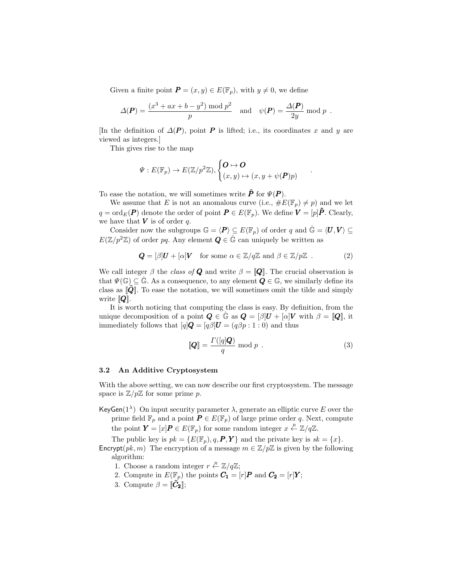Given a finite point  $P = (x, y) \in E(\mathbb{F}_p)$ , with  $y \neq 0$ , we define

$$
\Delta(\boldsymbol{P}) = \frac{(x^3 + ax + b - y^2) \bmod p^2}{p} \quad \text{and} \quad \psi(\boldsymbol{P}) = \frac{\Delta(\boldsymbol{P})}{2y} \bmod p \enspace .
$$

[In the definition of  $\Delta(P)$ , point P is lifted; i.e., its coordinates x and y are viewed as integers.]

This gives rise to the map

$$
\Psi: E(\mathbb{F}_p) \to E(\mathbb{Z}/p^2\mathbb{Z}), \begin{cases} \mathbf{O} \mapsto \mathbf{O} \\ (x, y) \mapsto (x, y + \psi(\mathbf{P})p) \end{cases}
$$

To ease the notation, we will sometimes write  $\tilde{P}$  for  $\Psi(P)$ .

We assume that E is not an anomalous curve (i.e.,  $\#E(\mathbb{F}_p) \neq p$ ) and we let  $q = \text{ord}_E(P)$  denote the order of point  $P \in E(\mathbb{F}_p)$ . We define  $V = [p]\tilde{P}$ . Clearly, we have that  $V$  is of order q.

Consider now the subgroups  $\mathbb{G} = \langle P \rangle \subseteq E(\mathbb{F}_p)$  of order q and  $\hat{\mathbb{G}} = \langle U, V \rangle \subseteq$  $E(\mathbb{Z}/p^2\mathbb{Z})$  of order pq. Any element  $\mathbf{Q} \in \hat{\mathbb{G}}$  can uniquely be written as

$$
\mathbf{Q} = [\beta] \mathbf{U} + [\alpha] \mathbf{V} \text{ for some } \alpha \in \mathbb{Z}/q\mathbb{Z} \text{ and } \beta \in \mathbb{Z}/p\mathbb{Z} . \tag{2}
$$

We call integer  $\beta$  the *class of* **Q** and write  $\beta = \mathbf{Q}$ . The crucial observation is that  $\Psi(\mathbb{G}) \subseteq \mathbb{G}$ . As a consequence, to any element  $Q \in \mathbb{G}$ , we similarly define its class as  $\|\tilde{Q}\|$ . To ease the notation, we will sometimes omit the tilde and simply write  $[Q]$ .

It is worth noticing that computing the class is easy. By definition, from the unique decomposition of a point  $\mathbf{Q} \in \mathbb{G}$  as  $\mathbf{Q} = [\beta] \mathbf{U} + [\alpha] \mathbf{V}$  with  $\beta = [\mathbf{Q}]$ , it immediately follows that  $[q]Q = [q\beta]U = (q\beta p : 1 : 0)$  and thus

$$
\llbracket \mathbf{Q} \rrbracket = \frac{\Gamma([q]\mathbf{Q})}{q} \bmod p \tag{3}
$$

.

#### 3.2 An Additive Cryptosystem

With the above setting, we can now describe our first cryptosystem. The message space is  $\mathbb{Z}/p\mathbb{Z}$  for some prime p.

KeyGen( $1^{\lambda}$ ) On input security parameter  $\lambda$ , generate an elliptic curve E over the prime field  $\mathbb{F}_p$  and a point  $P \in E(\mathbb{F}_p)$  of large prime order q. Next, compute the point  $\boldsymbol{Y} = [x] \boldsymbol{P} \in E(\mathbb{F}_p)$  for some random integer  $x \stackrel{R}{\leftarrow} \mathbb{Z}/q\mathbb{Z}$ .

The public key is  $pk = \{E(\mathbb{F}_p), q, P, Y\}$  and the private key is  $sk = \{x\}.$ 

- Encrypt( $pk, m$ ) The encryption of a message  $m \in \mathbb{Z}/p\mathbb{Z}$  is given by the following algorithm:
	- 1. Choose a random integer  $r \stackrel{R}{\leftarrow} \mathbb{Z}/q\mathbb{Z};$
	- 2. Compute in  $E(\mathbb{F}_p)$  the points  $C_1 = [r]P$  and  $C_2 = [r]Y$ ;
	- 3. Compute  $\beta = \llbracket \tilde{C}_2 \rrbracket$ ;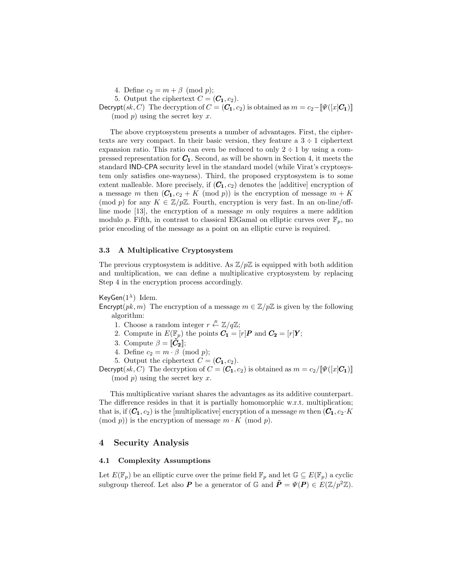4. Define  $c_2 = m + \beta \pmod{p}$ ;

5. Output the ciphertext  $C = (C_1, c_2)$ .

Decrypt(sk, C) The decryption of  $C = (\mathcal{C}_1, c_2)$  is obtained as  $m = c_2 - \llbracket \Psi(x|\mathcal{C}_1) \rrbracket$  $\pmod{p}$  using the secret key x.

The above cryptosystem presents a number of advantages. First, the ciphertexts are very compact. In their basic version, they feature a  $3 \div 1$  ciphertext expansion ratio. This ratio can even be reduced to only  $2 \div 1$  by using a compressed representation for  $C_1$ . Second, as will be shown in Section 4, it meets the standard IND-CPA security level in the standard model (while Virat's cryptosystem only satisfies one-wayness). Third, the proposed cryptosystem is to some extent malleable. More precisely, if  $(C_1, c_2)$  denotes the [additive] encryption of a message m then  $(C_1, c_2 + K \pmod{p})$  is the encryption of message  $m + K$ (mod p) for any  $K \in \mathbb{Z}/p\mathbb{Z}$ . Fourth, encryption is very fast. In an on-line/offline mode [13], the encryption of a message  $m$  only requires a mere addition modulo p. Fifth, in contrast to classical ElGamal on elliptic curves over  $\mathbb{F}_p$ , no prior encoding of the message as a point on an elliptic curve is required.

#### 3.3 A Multiplicative Cryptosystem

The previous cryptosystem is additive. As  $\mathbb{Z}/p\mathbb{Z}$  is equipped with both addition and multiplication, we can define a multiplicative cryptosystem by replacing Step 4 in the encryption process accordingly.

KeyGen $(1^{\lambda})$  Idem.

Encrypt( $pk, m$ ) The encryption of a message  $m \in \mathbb{Z}/p\mathbb{Z}$  is given by the following algorithm:

- 1. Choose a random integer  $r \stackrel{R}{\leftarrow} \mathbb{Z}/q\mathbb{Z};$
- 2. Compute in  $E(\mathbb{F}_p)$  the points  $C_1 = [r]P$  and  $C_2 = [r]Y$ ;
- 3. Compute  $\beta = [\![\tilde{\mathcal{C}}_2]\!]$ ;
- 4. Define  $c_2 = m \cdot \beta \pmod{p}$ ;

5. Output the ciphertext  $C = (C_1, c_2)$ .

Decrypt(sk, C) The decryption of  $C = (\mathbf{C_1}, c_2)$  is obtained as  $m = c_2/[\![\Psi([x]\mathbf{C_1})]\!]$  $\pmod{p}$  using the secret key x.

This multiplicative variant shares the advantages as its additive counterpart. The difference resides in that it is partially homomorphic w.r.t. multiplication; that is, if  $(C_1, c_2)$  is the [multiplicative] encryption of a message m then  $(C_1, c_2 \cdot K)$  $p(n)$  is the encryption of message  $m \cdot K \pmod{p}$ .

## 4 Security Analysis

#### 4.1 Complexity Assumptions

Let  $E(\mathbb{F}_p)$  be an elliptic curve over the prime field  $\mathbb{F}_p$  and let  $\mathbb{G} \subseteq E(\mathbb{F}_p)$  a cyclic subgroup thereof. Let also **P** be a generator of G and  $\tilde{\mathbf{P}} = \Psi(\mathbf{P}) \in E(\mathbb{Z}/p^2\mathbb{Z})$ .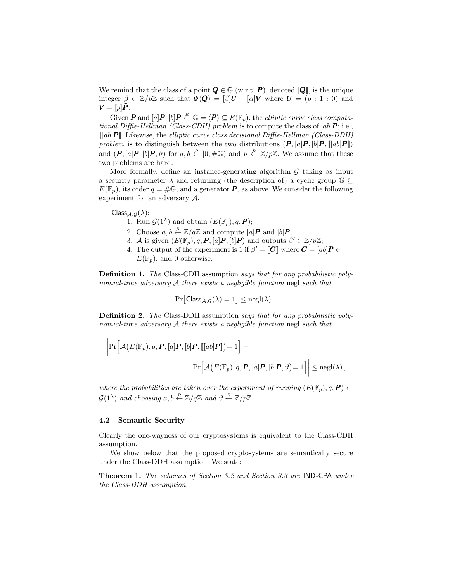We remind that the class of a point  $Q \in \mathbb{G}$  (w.r.t. P), denoted  $[Q]$ , is the unique integer  $\beta \in \mathbb{Z}/p\mathbb{Z}$  such that  $\Psi(Q) = [\beta]U + [\alpha]V$  where  $U = (p : 1 : 0)$  and  $V = [p]\tilde{P}$ .

Given **P** and  $[a]$ **P**,  $[b]$ **P**  $\stackrel{R}{\leftarrow}$  G =  $\langle$ **P** $\rangle \subseteq E(\mathbb{F}_p)$ , the elliptic curve class computational Diffie-Hellman (Class-CDH) problem is to compute the class of  $[ab]$ P; i.e.,  $[[ab]P]$ . Likewise, the elliptic curve class decisional Diffie-Hellman (Class-DDH) problem is to distinguish between the two distributions  $(P, [a]P, [b]P, [[ab]P]])$ and  $(P, [a]P, [b]P, \vartheta)$  for  $a, b \stackrel{R}{\leftarrow} [0, \#\mathbb{G})$  and  $\vartheta \stackrel{R}{\leftarrow} \mathbb{Z}/p\mathbb{Z}$ . We assume that these two problems are hard.

More formally, define an instance-generating algorithm  $G$  taking as input a security parameter  $\lambda$  and returning (the description of) a cyclic group  $\mathbb{G} \subseteq$  $E(\mathbb{F}_p)$ , its order  $q = \#\mathbb{G}$ , and a generator **P**, as above. We consider the following experiment for an adversary A.

Class<sub> $A, G$ </sub> $(\lambda)$ :

- 1. Run  $\mathcal{G}(1^{\lambda})$  and obtain  $(E(\mathbb{F}_p), q, P)$ ;
- 2. Choose  $a, b \stackrel{R}{\leftarrow} \mathbb{Z}/q\mathbb{Z}$  and compute  $[a]$ **P** and  $[b]$ **P**;
- 3. A is given  $(E(\mathbb{F}_p), q, P, [a]P, [b]P)$  and outputs  $\beta' \in \mathbb{Z}/p\mathbb{Z}$ ;
- 4. The output of the experiment is 1 if  $\beta' = \llbracket \mathbf{C} \rrbracket$  where  $\mathbf{C} = [ab] \mathbf{P} \in \mathbb{C}$  $E(\mathbb{F}_p)$ , and 0 otherwise.

Definition 1. The Class-CDH assumption says that for any probabilistic polynomial-time adversary A there exists a negligible function negl such that

$$
\Pr[\mathsf{Class}_{\mathcal{A},\mathcal{G}}(\lambda) = 1] \le \mathrm{negl}(\lambda) .
$$

Definition 2. The Class-DDH assumption says that for any probabilistic polynomial-time adversary A there exists a negligible function negl such that

$$
\left|\Pr\Big[\mathcal{A}\big(E(\mathbb{F}_p), q, \boldsymbol{P}, [a] \boldsymbol{P}, [b] \boldsymbol{P}, [[ab] \boldsymbol{P}]\big] = 1\right] - \Pr\Big[\mathcal{A}\big(E(\mathbb{F}_p), q, \boldsymbol{P}, [a] \boldsymbol{P}, [b] \boldsymbol{P}, \vartheta\big) = 1\Big]\Big| \leq \text{negl}(\lambda),
$$

where the probabilities are taken over the experiment of running  $(E(\mathbb{F}_p), q, \mathbf{P}) \leftarrow$  $\mathcal{G}(1^{\lambda})$  and choosing  $a, b \stackrel{R}{\leftarrow} \mathbb{Z}/q\mathbb{Z}$  and  $\vartheta \stackrel{R}{\leftarrow} \mathbb{Z}/p\mathbb{Z}$ .

#### 4.2 Semantic Security

Clearly the one-wayness of our cryptosystems is equivalent to the Class-CDH assumption.

We show below that the proposed cryptosystems are semantically secure under the Class-DDH assumption. We state:

Theorem 1. The schemes of Section 3.2 and Section 3.3 are IND-CPA under the Class-DDH assumption.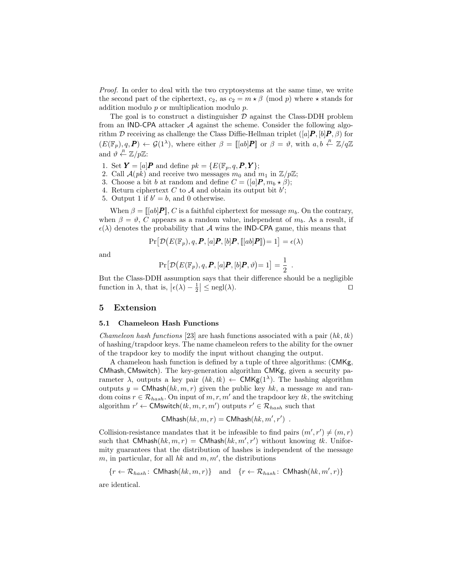Proof. In order to deal with the two cryptosystems at the same time, we write the second part of the ciphertext,  $c_2$ , as  $c_2 = m \star \beta \pmod{p}$  where  $\star$  stands for addition modulo  $p$  or multiplication modulo  $p$ .

The goal is to construct a distinguisher  $D$  against the Class-DDH problem from an IND-CPA attacker  $A$  against the scheme. Consider the following algorithm D receiving as challenge the Class Diffie-Hellman triplet  $([a]P, [b]P, \beta)$  for  $(E(\mathbb{F}_p), q, P) \leftarrow \mathcal{G}(1^{\lambda}),$  where either  $\beta = [[ab]P]$  or  $\beta = \vartheta$ , with  $a, b \leftarrow \mathbb{Z}/q\mathbb{Z}$ and  $\vartheta \stackrel{R}{\leftarrow} \mathbb{Z}/p\mathbb{Z}$ :

- 1. Set  $Y = [a]P$  and define  $pk = \{E(\mathbb{F}_p, q, P, Y)\};$
- 2. Call  $\mathcal{A}(pk)$  and receive two messages  $m_0$  and  $m_1$  in  $\mathbb{Z}/p\mathbb{Z}$ ;
- 3. Choose a bit b at random and define  $C = ([a]P, m_b \star \beta);$
- 4. Return ciphertext C to A and obtain its output bit  $b'$ ;
- 5. Output 1 if  $b' = b$ , and 0 otherwise.

When  $\beta = \llbracket [ab]$ P $\rrbracket$ , C is a faithful ciphertext for message  $m_b$ . On the contrary, when  $\beta = \vartheta$ , C appears as a random value, independent of  $m_b$ . As a result, if  $\epsilon(\lambda)$  denotes the probability that A wins the **IND-CPA** game, this means that

$$
\Pr\bigl[ \mathcal{D}\bigl(E(\mathbb{F}_p), q, \boldsymbol{P}, [a] \boldsymbol{P}, [b] \boldsymbol{P}, [\hspace{-1.5pt}[ [ab] \boldsymbol{P} ] \hspace{-1.5pt}] \bigr) = 1 \bigr] = \epsilon(\lambda)
$$

and

$$
Pr[\mathcal{D}(E(\mathbb{F}_p), q, \boldsymbol{P}, [a] \boldsymbol{P}, [b] \boldsymbol{P}, \vartheta) = 1] = \frac{1}{2}.
$$

But the Class-DDH assumption says that their difference should be a negligible function in  $\lambda$ , that is,  $|\epsilon(\lambda) - \frac{1}{2}| \leq \text{negl}(\lambda)$ .

### 5 Extension

#### 5.1 Chameleon Hash Functions

*Chameleon hash functions* [23] are hash functions associated with a pair  $(hk, tk)$ of hashing/trapdoor keys. The name chameleon refers to the ability for the owner of the trapdoor key to modify the input without changing the output.

A chameleon hash function is defined by a tuple of three algorithms: (CMKg, CMhash, CMswitch). The key-generation algorithm CMKg, given a security parameter  $\lambda$ , outputs a key pair  $(hk, tk) \leftarrow \text{CMKg}(1^{\lambda})$ . The hashing algorithm outputs  $y = \text{CMhash}(hk, m, r)$  given the public key hk, a message m and random coins  $r \in \mathcal{R}_{hash}$ . On input of  $m, r, m'$  and the trapdoor key tk, the switching algorithm  $r' \leftarrow \textsf{CMswitch}(t_k, m, r, m')$  outputs  $r' \in \mathcal{R}_{hash}$  such that

$$
Chhash(hk, m, r) = Chhash(hk, m', r') .
$$

Collision-resistance mandates that it be infeasible to find pairs  $(m', r') \neq (m, r)$ such that CMhash $(hk, m, r) =$  CMhash $(hk, m', r')$  without knowing tk. Uniformity guarantees that the distribution of hashes is independent of the message m, in particular, for all  $hk$  and  $m, m'$ , the distributions

$$
\{r \leftarrow \mathcal{R}_{hash} \colon \text{CMhash}(hk, m, r)\} \quad \text{and} \quad \{r \leftarrow \mathcal{R}_{hash} \colon \text{CMhash}(hk, m', r)\}
$$

are identical.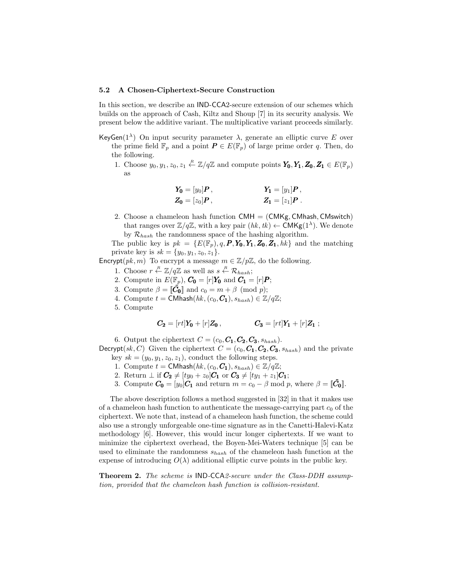#### 5.2 A Chosen-Ciphertext-Secure Construction

In this section, we describe an IND-CCA2-secure extension of our schemes which builds on the approach of Cash, Kiltz and Shoup [7] in its security analysis. We present below the additive variant. The multiplicative variant proceeds similarly.

- KeyGen( $1^{\lambda}$ ) On input security parameter  $\lambda$ , generate an elliptic curve E over the prime field  $\mathbb{F}_p$  and a point  $\boldsymbol{P} \in E(\mathbb{F}_p)$  of large prime order q. Then, do the following.
	- 1. Choose  $y_0, y_1, z_0, z_1 \stackrel{R}{\leftarrow} \mathbb{Z}/q\mathbb{Z}$  and compute points  $Y_0, Y_1, Z_0, Z_1 \in E(\mathbb{F}_p)$ as

$$
Y_0 = [y_0]P
$$
,  $Y_1 = [y_1]P$ ,  
\n $Z_0 = [z_0]P$ ,  $Z_1 = [z_1]P$ .

2. Choose a chameleon hash function  $CMH = (CMKg, CMhash, CMswitch)$ that ranges over  $\mathbb{Z}/q\mathbb{Z}$ , with a key pair  $(hk, tk) \leftarrow \text{CMKg}(1^{\lambda})$ . We denote by  $\mathcal{R}_{hash}$  the randomness space of the hashing algorithm.

The public key is  $pk = \{E(\mathbb{F}_p), q, P, Y_0, Y_1, Z_0, Z_1, hk\}$  and the matching private key is  $sk = \{y_0, y_1, z_0, z_1\}.$ 

Encrypt( $pk, m$ ) To encrypt a message  $m \in \mathbb{Z}/p\mathbb{Z}$ , do the following.

- 1. Choose  $r \stackrel{R}{\leftarrow} \mathbb{Z}/q\mathbb{Z}$  as well as  $s \stackrel{R}{\leftarrow} \mathcal{R}_{hash}$ ;
- 2. Compute in  $E(\mathbb{F}_p)$ ,  $C_0 = [r]Y_0$  and  $C_1 = [r]P$ ;
- 3. Compute  $\beta = \[\mathbf{\tilde{C}_0}\]$  and  $c_0 = m + \beta \pmod{p}$ ;
- 4. Compute  $t = \text{CMhash}(hk, (c_0, C_1), s_{hash}) \in \mathbb{Z}/q\mathbb{Z};$
- 5. Compute

$$
C_2 = [rt]Y_0 + [r]Z_0, \qquad \qquad C_3 = [rt]Y_1 + [r]Z_1 ;
$$

6. Output the ciphertext  $C = (c_0, \mathbf{C}_1, \mathbf{C}_2, \mathbf{C}_3, s_{hash}).$ Decrypt(sk, C) Given the ciphertext  $C = (c_0, C_1, C_2, C_3, s_{hash})$  and the private key  $sk = (y_0, y_1, z_0, z_1)$ , conduct the following steps.

- 1. Compute  $t = \textsf{CMhash}(hk, (c_0, C_1), s_{hash}) \in \mathbb{Z}/q\mathbb{Z};$
- 2. Return  $\perp$  if  $C_2 \neq [ty_0 + z_0]C_1$  or  $C_3 \neq [ty_1 + z_1]C_1$ ;
- 3. Compute  $C_0 = [y_0]C_1$  and return  $m = c_0 \beta \mod p$ , where  $\beta = [\tilde{C}_0]$ .

The above description follows a method suggested in [32] in that it makes use of a chameleon hash function to authenticate the message-carrying part  $c_0$  of the ciphertext. We note that, instead of a chameleon hash function, the scheme could also use a strongly unforgeable one-time signature as in the Canetti-Halevi-Katz methodology [6]. However, this would incur longer ciphertexts. If we want to minimize the ciphertext overhead, the Boyen-Mei-Waters technique [5] can be used to eliminate the randomness  $s_{hash}$  of the chameleon hash function at the expense of introducing  $O(\lambda)$  additional elliptic curve points in the public key.

Theorem 2. The scheme is IND-CCA2-secure under the Class-DDH assumption, provided that the chameleon hash function is collision-resistant.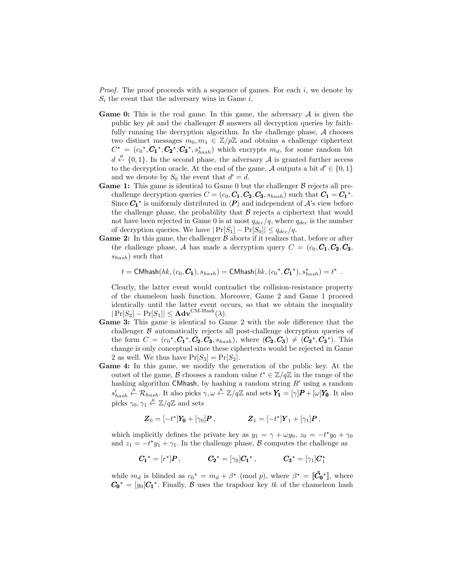*Proof.* The proof proceeds with a sequence of games. For each i, we denote by  $S_i$  the event that the adversary wins in Game i.

- **Game 0:** This is the real game. In this game, the adversary  $A$  is given the public key pk and the challenger  $\beta$  answers all decryption queries by faithfully running the decryption algorithm. In the challenge phase,  $A$  chooses two distinct messages  $m_0, m_1 \in \mathbb{Z}/p\mathbb{Z}$  and obtains a challenge ciphertext  $C^* = (c_0^*, C_1^*, C_2^*, C_3^*, s_{hash}^*)$  which encrypts  $m_d$ , for some random bit  $d \leftarrow \{0,1\}$ . In the second phase, the adversary A is granted further access to the decryption oracle. At the end of the game, A outputs a bit  $d' \in \{0, 1\}$ and we denote by  $S_0$  the event that  $d' = d$ .
- **Game 1:** This game is identical to Game 0 but the challenger  $\beta$  rejects all prechallenge decryption queries  $C = (c_0, C_1, C_2, C_3, s_{hash})$  such that  $C_1 = C_1^*$ . Since  $C_1^*$  is uniformly distributed in  $\langle P \rangle$  and independent of  $\mathcal{A}$ 's view before the challenge phase, the probability that  $\beta$  rejects a ciphertext that would not have been rejected in Game 0 is at most  $q_{dec}/q$ , where  $q_{dec}$  is the number of decryption queries. We have  $|\Pr[S_1] - \Pr[S_0]| \leq q_{dec}/q$ .
- **Game 2:** In this game, the challenger  $\beta$  aborts if it realizes that, before or after the challenge phase, A has made a decryption query  $C = (c_0, C_1, C_2, C_3,$  $s_{hash}$ ) such that

$$
t = \mathsf{CMhash}(hk, (c_0, \mathcal{C}_1), s_{hash}) = \mathsf{CMhash}(hk, (c_0{{^\star}}, \mathcal{C}_1{{^\star}}), s_{hash}{{^\star}}) = t^{{\star}}\enspace.
$$

Clearly, the latter event would contradict the collision-resistance property of the chameleon hash function. Moreover, Game 2 and Game 1 proceed identically until the latter event occurs, so that we obtain the inequality  $|\Pr[S_2] - \Pr[S_1]| \leq \mathbf{Adv}^{\text{CM-Hash}}(\lambda).$ 

- Game 3: This game is identical to Game 2 with the sole difference that the challenger B automatically rejects all post-challenge decryption queries of the form  $C = (c_0^*, C_1^*, C_2, C_3, s_{hash})$ , where  $(C_2, C_3) \neq (C_2^*, C_3^*)$ . This change is only conceptual since these ciphertexts would be rejected in Game 2 as well. We thus have  $Pr[S_3] = Pr[S_2]$ .
- Game 4: In this game, we modify the generation of the public key. At the outset of the game, B chooses a random value  $t^* \in \mathbb{Z}/q\mathbb{Z}$  in the range of the hashing algorithm CMhash, by hashing a random string  $R'$  using a random  $s'_{hash} \stackrel{R}{\leftarrow} \mathcal{R}_{hash}$ . It also picks  $\gamma, \omega \stackrel{R}{\leftarrow} \mathbb{Z}/q\mathbb{Z}$  and sets  $Y_1 = [\gamma]P + [\omega]Y_0$ . It also picks  $\gamma_0, \gamma_1 \stackrel{R}{\leftarrow} \mathbb{Z}/q\mathbb{Z}$  and sets

$$
\boldsymbol{Z}_0 = [-t^\star] \boldsymbol{Y_0} + [\gamma_0] \boldsymbol{P} \,, \qquad \qquad \boldsymbol{Z}_1 = [-t^\star] \boldsymbol{Y}_1 + [\gamma_1] \boldsymbol{P} \,,
$$

which implicitly defines the private key as  $y_1 = \gamma + \omega y_0$ ,  $z_0 = -t^*y_0 + \gamma_0$ and  $z_1 = -t^*y_1 + \gamma_1$ . In the challenge phase,  $\beta$  computes the challenge as

$$
C_1{}^{\star}=[r^{\star}]P\,,\qquad\qquad C_2{}^{\star}=[\gamma_0]C_1{}^{\star}\,,\qquad\qquad C_3{}^{\star}=[\gamma_1]C_1^{\star}
$$

while  $m_d$  is blinded as  $c_0^* = m_d + \beta^* \pmod{p}$ , where  $\beta^* = [\tilde{C}_0^*]$ , where  $C_0^* = [y_0]C_1^*$ . Finally, B uses the trapdoor key tk of the chameleon hash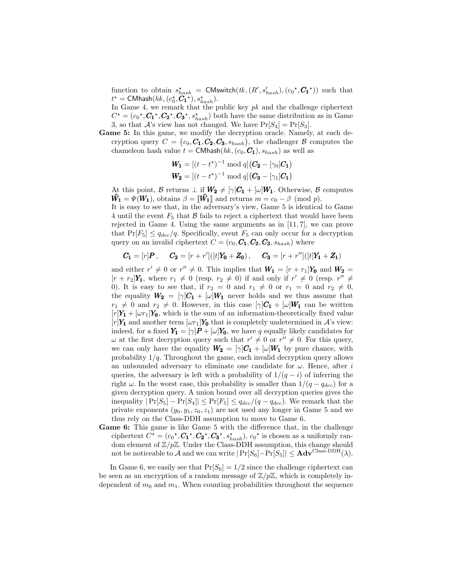function to obtain  $s_{hash}^{\star} = \text{CMswich}(tk, (R', s'_{hash}), (c_0^{\star}, C_1^{\star}))$  such that  $t^* = \mathsf{CMhash}(hk, (c_0^*, \mathbf{C_1}^*), s_{hash}^*).$ 

In Game 4, we remark that the public key  $pk$  and the challenge ciphertext  $C^* = (c_0^*, C_1^*, C_2^*, C_3^*, s_{hash}^*)$  both have the same distribution as in Game 3, so that A's view has not changed. We have  $Pr[S_4] = Pr[S_3]$ .

Game 5: In this game, we modify the decryption oracle. Namely, at each decryption query  $C = (c_0, C_1, C_2, C_3, s_{hash})$ , the challenger  $\beta$  computes the chameleon hash value  $t = \text{CMhash}(hk, (c_0, C_1), s_{hash})$  as well as

$$
W_1 = [(t - t^*)^{-1} \mod q](C_2 - [\gamma_0]C_1)
$$
  
\n
$$
W_2 = [(t - t^*)^{-1} \mod q](C_3 - [\gamma_1]C_1)
$$

At this point, B returns  $\perp$  if  $W_2 \neq [\gamma]C_1 + [\omega]W_1$ . Otherwise, B computes  $\tilde{W}_1 = \Psi(W_1)$ , obtains  $\beta = [\tilde{W}_1]$  and returns  $m = c_0 - \beta \pmod{p}$ .

It is easy to see that, in the adversary's view, Game 5 is identical to Game 4 until the event  $F_5$  that  $\beta$  fails to reject a ciphertext that would have been rejected in Game 4. Using the same arguments as in [11, 7], we can prove that  $Pr[F_5] \leq q_{dec}/q$ . Specifically, event  $F_5$  can only occur for a decryption query on an invalid ciphertext  $C = (c_0, C_1, C_2, C_3, s_{hash})$  where

$$
C_1 = [r]P
$$
,  $C_2 = [r + r']([t]Y_0 + Z_0)$ ,  $C_3 = [r + r'']([t]Y_1 + Z_1)$ 

and either  $r' \neq 0$  or  $r'' \neq 0$ . This implies that  $W_1 = [r + r_1]Y_0$  and  $W_2 =$  $[r + r_2]Y_1$ , where  $r_1 \neq 0$  (resp.  $r_2 \neq 0$ ) if and only if  $r' \neq 0$  (resp.  $r'' \neq 0$ 0). It is easy to see that, if  $r_2 = 0$  and  $r_1 \neq 0$  or  $r_1 = 0$  and  $r_2 \neq 0$ , the equality  $W_2 = [\gamma]C_1 + [\omega]W_1$  never holds and we thus assume that  $r_1 \neq 0$  and  $r_2 \neq 0$ . However, in this case  $[\gamma]C_1 + [\omega]W_1$  can be written  $[r]Y_1 + [\omega r_1]Y_0$ , which is the sum of an information-theoretically fixed value  $[r]Y_1$  and another term  $[\omega r_1]Y_0$  that is completely undetermined in A's view: indeed, for a fixed  $Y_1 = [\gamma]P + [\omega]Y_0$ , we have q equally likely candidates for  $\omega$  at the first decryption query such that  $r' \neq 0$  or  $r'' \neq 0$ . For this query, we can only have the equality  $W_2 = [\gamma]C_1 + [\omega]W_1$  by pure chance, with probability  $1/q$ . Throughout the game, each invalid decryption query allows an unbounded adversary to eliminate one candidate for  $\omega$ . Hence, after i queries, the adversary is left with a probability of  $1/(q - i)$  of inferring the right  $\omega$ . In the worst case, this probability is smaller than  $1/(q - q_{dec})$  for a given decryption query. A union bound over all decryption queries gives the inequality  $|\Pr[S_5] - \Pr[S_4]| \leq \Pr[F_5] \leq q_{dec}/(q - q_{dec})$ . We remark that the private exponents  $(y_0, y_1, z_0, z_1)$  are not used any longer in Game 5 and we thus rely on the Class-DDH assumption to move to Game 6.

Game 6: This game is like Game 5 with the difference that, in the challenge ciphertext  $C^* = (c_0^*, C_1^*, C_2^*, C_3^*, s_{hash}^*, c_0^*$  is chosen as a uniformly random element of  $\mathbb{Z}/p\mathbb{Z}$ . Under the Class-DDH assumption, this change should not be noticeable to A and we can write  $|\Pr[S_6]\!-\!\Pr[S_5]| \leq \mathbf{Adv}^{\text{Class-DDH}}(\lambda).$ 

In Game 6, we easily see that  $Pr[S_6] = 1/2$  since the challenge ciphertext can be seen as an encryption of a random message of  $\mathbb{Z}/p\mathbb{Z}$ , which is completely independent of  $m_0$  and  $m_1$ . When counting probabilities throughout the sequence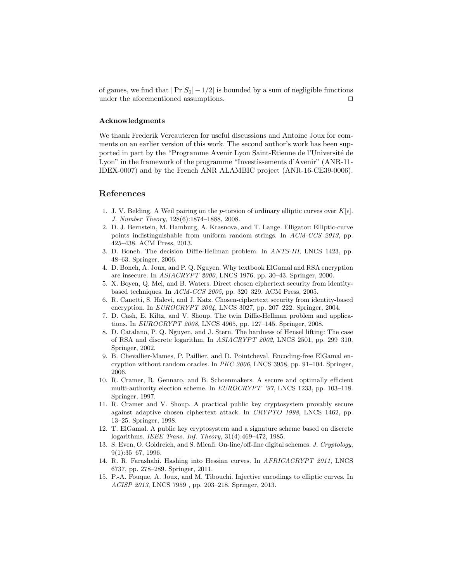of games, we find that  $|Pr[S_0] - 1/2|$  is bounded by a sum of negligible functions under the aforementioned assumptions.  $\Box$ 

#### Acknowledgments

We thank Frederik Vercauteren for useful discussions and Antoine Joux for comments on an earlier version of this work. The second author's work has been supported in part by the "Programme Avenir Lyon Saint-Etienne de l'Universit´e de Lyon" in the framework of the programme "Investissements d'Avenir" (ANR-11- IDEX-0007) and by the French ANR ALAMBIC project (ANR-16-CE39-0006).

## References

- 1. J. V. Belding. A Weil pairing on the p-torsion of ordinary elliptic curves over  $K[\epsilon]$ . J. Number Theory, 128(6):1874–1888, 2008.
- 2. D. J. Bernstein, M. Hamburg, A. Krasnova, and T. Lange. Elligator: Elliptic-curve points indistinguishable from uniform random strings. In ACM-CCS 2013, pp. 425–438. ACM Press, 2013.
- 3. D. Boneh. The decision Diffie-Hellman problem. In ANTS-III, LNCS 1423, pp. 48–63. Springer, 2006.
- 4. D. Boneh, A. Joux, and P. Q. Nguyen. Why textbook ElGamal and RSA encryption are insecure. In ASIACRYPT 2000, LNCS 1976, pp. 30–43. Springer, 2000.
- 5. X. Boyen, Q. Mei, and B. Waters. Direct chosen ciphertext security from identitybased techniques. In ACM-CCS 2005, pp. 320–329. ACM Press, 2005.
- 6. R. Canetti, S. Halevi, and J. Katz. Chosen-ciphertext security from identity-based encryption. In EUROCRYPT 2004, LNCS 3027, pp. 207–222. Springer, 2004.
- 7. D. Cash, E. Kiltz, and V. Shoup. The twin Diffie-Hellman problem and applications. In EUROCRYPT 2008, LNCS 4965, pp. 127–145. Springer, 2008.
- 8. D. Catalano, P. Q. Nguyen, and J. Stern. The hardness of Hensel lifting: The case of RSA and discrete logarithm. In ASIACRYPT 2002, LNCS 2501, pp. 299–310. Springer, 2002.
- 9. B. Chevallier-Mames, P. Paillier, and D. Pointcheval. Encoding-free ElGamal encryption without random oracles. In PKC 2006, LNCS 3958, pp. 91–104. Springer, 2006.
- 10. R. Cramer, R. Gennaro, and B. Schoenmakers. A secure and optimally efficient multi-authority election scheme. In EUROCRYPT '97, LNCS 1233, pp. 103–118. Springer, 1997.
- 11. R. Cramer and V. Shoup. A practical public key cryptosystem provably secure against adaptive chosen ciphertext attack. In CRYPTO 1998, LNCS 1462, pp. 13–25. Springer, 1998.
- 12. T. ElGamal. A public key cryptosystem and a signature scheme based on discrete logarithms. IEEE Trans. Inf. Theory, 31(4):469–472, 1985.
- 13. S. Even, O. Goldreich, and S. Micali. On-line/off-line digital schemes. J. Cryptology, 9(1):35–67, 1996.
- 14. R. R. Farashahi. Hashing into Hessian curves. In AFRICACRYPT 2011, LNCS 6737, pp. 278–289. Springer, 2011.
- 15. P.-A. Fouque, A. Joux, and M. Tibouchi. Injective encodings to elliptic curves. In ACISP 2013, LNCS 7959 , pp. 203–218. Springer, 2013.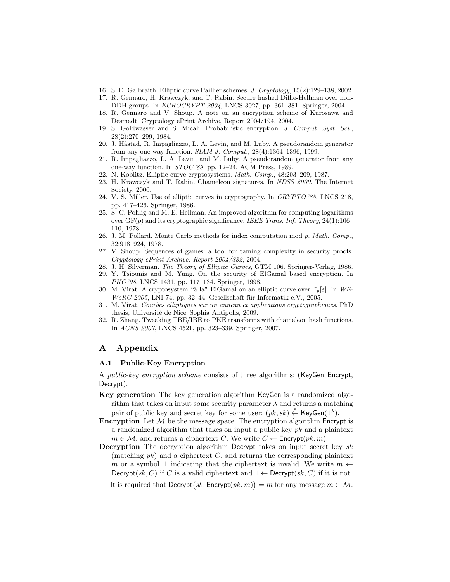- 16. S. D. Galbraith. Elliptic curve Paillier schemes. J. Cryptology, 15(2):129–138, 2002.
- 17. R. Gennaro, H. Krawczyk, and T. Rabin. Secure hashed Diffie-Hellman over non-DDH groups. In EUROCRYPT 2004, LNCS 3027, pp. 361–381. Springer, 2004.
- 18. R. Gennaro and V. Shoup. A note on an encryption scheme of Kurosawa and Desmedt. Cryptology ePrint Archive, Report 2004/194, 2004.
- 19. S. Goldwasser and S. Micali. Probabilistic encryption. J. Comput. Syst. Sci., 28(2):270–299, 1984.
- 20. J. Håstad, R. Impagliazzo, L. A. Levin, and M. Luby. A pseudorandom generator from any one-way function. SIAM J. Comput., 28(4):1364–1396, 1999.
- 21. R. Impagliazzo, L. A. Levin, and M. Luby. A pseudorandom generator from any one-way function. In STOC '89, pp. 12–24. ACM Press, 1989.
- 22. N. Koblitz. Elliptic curve cryptosystems. Math. Comp., 48:203–209, 1987.
- 23. H. Krawczyk and T. Rabin. Chameleon signatures. In NDSS 2000. The Internet Society, 2000.
- 24. V. S. Miller. Use of elliptic curves in cryptography. In CRYPTO '85, LNCS 218, pp. 417–426. Springer, 1986.
- 25. S. C. Pohlig and M. E. Hellman. An improved algorithm for computing logarithms over  $GF(p)$  and its cryptographic significance. IEEE Trans. Inf. Theory, 24(1):106– 110, 1978.
- 26. J. M. Pollard. Monte Carlo methods for index computation mod p. Math. Comp., 32:918–924, 1978.
- 27. V. Shoup. Sequences of games: a tool for taming complexity in security proofs. Cryptology ePrint Archive: Report 2004/332, 2004.
- 28. J. H. Silverman. The Theory of Elliptic Curves, GTM 106. Springer-Verlag, 1986.
- 29. Y. Tsiounis and M. Yung. On the security of ElGamal based encryption. In PKC '98, LNCS 1431, pp. 117-134. Springer, 1998.
- 30. M. Virat. A cryptosystem "à la" ElGamal on an elliptic curve over  $\mathbb{F}_p[\varepsilon]$ . In WE- $WoRC$  2005, LNI 74, pp. 32–44. Gesellschaft für Informatik e.V., 2005.
- 31. M. Virat. Courbes elliptiques sur un anneau et applications cryptographiques. PhD thesis, Université de Nice–Sophia Antipolis, 2009.
- 32. R. Zhang. Tweaking TBE/IBE to PKE transforms with chameleon hash functions. In ACNS 2007, LNCS 4521, pp. 323–339. Springer, 2007.

## A Appendix

#### A.1 Public-Key Encryption

A public-key encryption scheme consists of three algorithms: (KeyGen, Encrypt, Decrypt).

- Key generation The key generation algorithm KeyGen is a randomized algorithm that takes on input some security parameter  $\lambda$  and returns a matching pair of public key and secret key for some user:  $(pk, sk) \stackrel{R}{\leftarrow} \mathsf{KeyGen}(1^{\lambda})$ .
- **Encryption** Let  $M$  be the message space. The encryption algorithm Encrypt is a randomized algorithm that takes on input a public key  $pk$  and a plaintext  $m \in \mathcal{M}$ , and returns a ciphertext C. We write  $C \leftarrow$  Encrypt $(pk, m)$ .
- Decryption The decryption algorithm Decrypt takes on input secret key sk (matching  $pk$ ) and a ciphertext  $C$ , and returns the corresponding plaintext m or a symbol  $\perp$  indicating that the ciphertext is invalid. We write  $m \leftarrow$ Decrypt(sk, C) if C is a valid ciphertext and  $\bot \leftarrow$  Decrypt(sk, C) if it is not.

It is required that  $\mathsf{Decrypt}(sk, \mathsf{Encrypt}(pk, m)) = m$  for any message  $m \in \mathcal{M}$ .